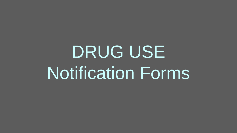# DRUG USE Notification Forms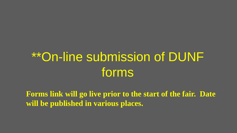### \*\*On-line submission of DUNF forms

**Forms link will go live prior to the start of the fair. Date will be published in various places.**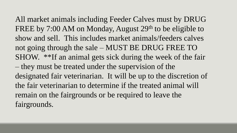All market animals including Feeder Calves must by DRUG FREE by 7:00 AM on Monday, August 29<sup>th</sup> to be eligible to show and sell. This includes market animals/feeders calves not going through the sale – MUST BE DRUG FREE TO SHOW. \*\*If an animal gets sick during the week of the fair – they must be treated under the supervision of the designated fair veterinarian. It will be up to the discretion of the fair veterinarian to determine if the treated animal will remain on the fairgrounds or be required to leave the fairgrounds.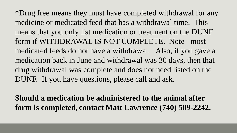\*Drug free means they must have completed withdrawal for any medicine or medicated feed that has a withdrawal time. This means that you only list medication or treatment on the DUNF form if WITHDRAWAL IS NOT COMPLETE. Note– most medicated feeds do not have a withdrawal. Also, if you gave a medication back in June and withdrawal was 30 days, then that drug withdrawal was complete and does not need listed on the DUNF. If you have questions, please call and ask.

**Should a medication be administered to the animal after form is completed, contact Matt Lawrence (740) 509-2242.**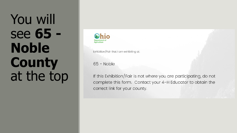## You will see **65 - Noble County** at the top



Exhibition/Fair that I am exhibiting at:

65 - Noble

If this Exhibition/Fair is not where you are participating, do not complete this form. Contact your 4-H Educator to obtain the correct link for your county.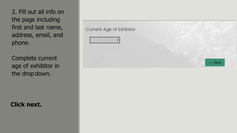2. Fill out all info on the page including first and last name, address, email, and phone.

Complete current age of exhibitor in the drop down.

**Click next.**

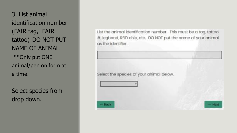3. List animal identification number (FAIR tag, FAIR tattoo) DO NOT PUT NAME OF ANIMAL. \*\*Only put ONE animal/pen on form at a time.

Select species from drop down.

List the animal identification number. This must be a tag, tattoo #, legband, RFID chip, etc. DO NOT put the name of your animal as the identifier.

Select the species of your animal below.

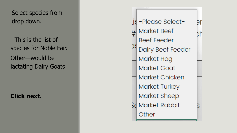Select species from drop down.

This is the list of species for Noble Fair. Other—would be lactating Dairy Goats

**Click next.**

is -Please Select-Эľ **Market Beef** )ł **Beef Feeder** Dairy Beef Feeder Market Hog **Market Goat** Market Chicken Market Turkey Market Sheep Se Market Rabbit Other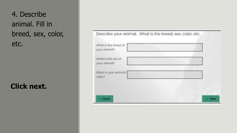4. Describe animal. Fill in breed, sex, color, etc.

#### **Click next.**

| What is the breed of<br>your animal? | Describe your animal. What is the breed, sex, color, etc. |
|--------------------------------------|-----------------------------------------------------------|
| What is the sex of<br>your animal?   |                                                           |
| What is your animal's<br>color?      |                                                           |
|                                      |                                                           |
| $-$ Bock                             | $-$ Next                                                  |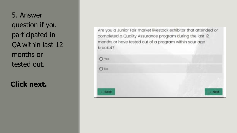5. Answer question if you participated in QA within last 12 months or tested out.

**Click next.**

Are you a Junior Fair market livestock exhibitor that attended or completed a Quality Assurance program during the last 12 months or have tested out of a program within your age bracket?

| $O$ Yes |         |
|---------|---------|
| $O$ No  |         |
|         |         |
| - Back  | -- Next |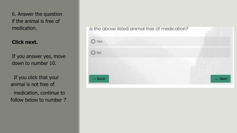6. Answer the question if the animal is free of medication.

#### **Click next.**

If you answer yes, move down to number 10.

If you click that your animal is not free of medication, continue to follow below to number 7

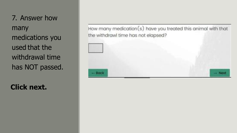7. Answer how many medications you used that the withdrawal time has NOT passed.

**Click next.**

How many medication(s) have you treated this animal with that the withdrawl time has not elapsed?

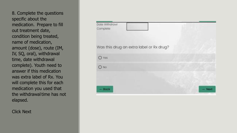8. Complete the questions specific about the medication. Prepare to fill out treatment date, condition being treated, name of medication, amount (dose), route (IM, IV, SQ, oral), withdrawal time, date withdrawal complete). Youth need to answer if this medication was extra label of Rx. You will complete this for each medication you used that the withdrawal time has not elapsed.

Click Next

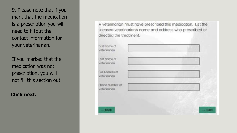9. Please note that if you mark that the medication is a prescription you will need to fill out the contact information for your veterinarian.

If you marked that the medication was not prescription, you will not fill this section out.

**Click next.**

A veterinarian must have prescribed this medication. List the licensed veterinarian's name and address who prescribed or directed the treatment.

| First Name of<br>Veterinorion   |  |          |
|---------------------------------|--|----------|
| Last Name of<br>Veterinarian    |  |          |
| Full Address of<br>Veterinarian |  |          |
| Phone Number of<br>Veterinorian |  |          |
| $-$ Bock                        |  | $-$ Noxt |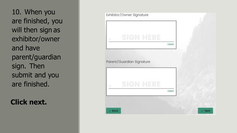10. When you are finished, you will then sign as exhibitor/owner and have parent/guardian sign. Then submit and you are finished.

**Click next.**